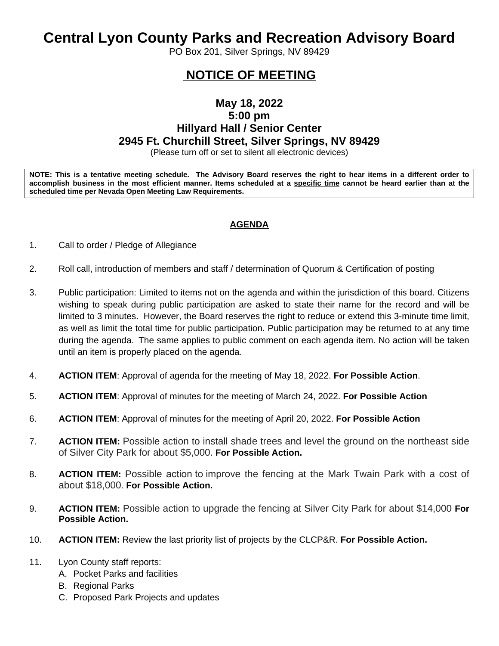# **Central Lyon County Parks and Recreation Advisory Board**

PO Box 201, Silver Springs, NV 89429

## **NOTICE OF MEETING**

### **May 18, 2022 5:00 pm Hillyard Hall / Senior Center 2945 Ft. Churchill Street, Silver Springs, NV 89429**

(Please turn off or set to silent all electronic devices)

NOTE: This is a tentative meeting schedule. The Advisory Board reserves the right to hear items in a different order to accomplish business in the most efficient manner. Items scheduled at a specific time cannot be heard earlier than at the **scheduled time per Nevada Open Meeting Law Requirements.** 

#### **AGENDA**

- 1. Call to order / Pledge of Allegiance
- 2. Roll call, introduction of members and staff / determination of Quorum & Certification of posting
- 3. Public participation: Limited to items not on the agenda and within the jurisdiction of this board. Citizens wishing to speak during public participation are asked to state their name for the record and will be limited to 3 minutes. However, the Board reserves the right to reduce or extend this 3-minute time limit, as well as limit the total time for public participation. Public participation may be returned to at any time during the agenda. The same applies to public comment on each agenda item. No action will be taken until an item is properly placed on the agenda.
- 4. **ACTION ITEM**: Approval of agenda for the meeting of May 18, 2022. **For Possible Action**.
- 5. **ACTION ITEM**: Approval of minutes for the meeting of March 24, 2022. **For Possible Action**
- 6. **ACTION ITEM**: Approval of minutes for the meeting of April 20, 2022. **For Possible Action**
- 7. **ACTION ITEM:** Possible action to install shade trees and level the ground on the northeast side of Silver City Park for about \$5,000. **For Possible Action.**
- 8. **ACTION ITEM:** Possible action to improve the fencing at the Mark Twain Park with a cost of about \$18,000. **For Possible Action.**
- 9. **ACTION ITEM:** Possible action to upgrade the fencing at Silver City Park for about \$14,000 **For Possible Action.**
- 10. **ACTION ITEM:** Review the last priority list of projects by the CLCP&R. **For Possible Action.**
- 11. Lyon County staff reports:
	- A. Pocket Parks and facilities
	- B. Regional Parks
	- C. Proposed Park Projects and updates